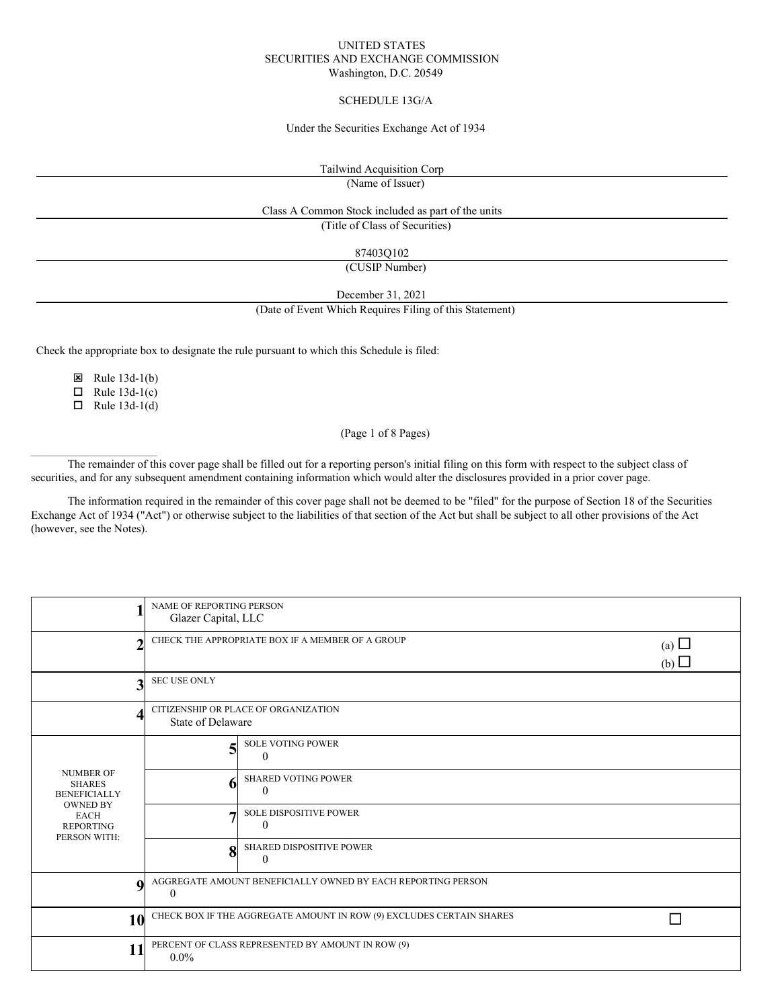### UNITED STATES SECURITIES AND EXCHANGE COMMISSION Washington, D.C. 20549

### SCHEDULE 13G/A

#### Under the Securities Exchange Act of 1934

Tailwind Acquisition Corp

(Name of Issuer)

## Class A Common Stock included as part of the units

(Title of Class of Securities)

87403Q102

(CUSIP Number)

December 31, 2021

(Date of Event Which Requires Filing of this Statement)

Check the appropriate box to designate the rule pursuant to which this Schedule is filed:

 $\boxtimes$  Rule 13d-1(b)

 $\Box$  Rule 13d-1(c)

 $\Box$  Rule 13d-1(d)

 $\mathcal{L}_\text{max}$ 

(Page 1 of 8 Pages)

The remainder of this cover page shall be filled out for a reporting person's initial filing on this form with respect to the subject class of securities, and for any subsequent amendment containing information which would alter the disclosures provided in a prior cover page.

The information required in the remainder of this cover page shall not be deemed to be "filed" for the purpose of Section 18 of the Securities Exchange Act of 1934 ("Act") or otherwise subject to the liabilities of that section of the Act but shall be subject to all other provisions of the Act (however, see the Notes).

|                                                                                                                                | NAME OF REPORTING PERSON<br>Glazer Capital, LLC                          |                                             |  |  |  |
|--------------------------------------------------------------------------------------------------------------------------------|--------------------------------------------------------------------------|---------------------------------------------|--|--|--|
| າ                                                                                                                              | CHECK THE APPROPRIATE BOX IF A MEMBER OF A GROUP                         | (a) $\Box$<br>(b)                           |  |  |  |
| 3                                                                                                                              | <b>SEC USE ONLY</b>                                                      |                                             |  |  |  |
| 4                                                                                                                              | CITIZENSHIP OR PLACE OF ORGANIZATION<br><b>State of Delaware</b>         |                                             |  |  |  |
| <b>NUMBER OF</b><br><b>SHARES</b><br><b>BENEFICIALLY</b><br><b>OWNED BY</b><br><b>EACH</b><br><b>REPORTING</b><br>PERSON WITH: | 5                                                                        | <b>SOLE VOTING POWER</b><br>0               |  |  |  |
|                                                                                                                                | 6                                                                        | <b>SHARED VOTING POWER</b><br>$\Omega$      |  |  |  |
|                                                                                                                                | –                                                                        | SOLE DISPOSITIVE POWER<br>$\Omega$          |  |  |  |
|                                                                                                                                | 8                                                                        | <b>SHARED DISPOSITIVE POWER</b><br>$\Omega$ |  |  |  |
| 9                                                                                                                              | AGGREGATE AMOUNT BENEFICIALLY OWNED BY EACH REPORTING PERSON<br>$\theta$ |                                             |  |  |  |
| 10                                                                                                                             | CHECK BOX IF THE AGGREGATE AMOUNT IN ROW (9) EXCLUDES CERTAIN SHARES     |                                             |  |  |  |
| 11                                                                                                                             | PERCENT OF CLASS REPRESENTED BY AMOUNT IN ROW (9)<br>$0.0\%$             |                                             |  |  |  |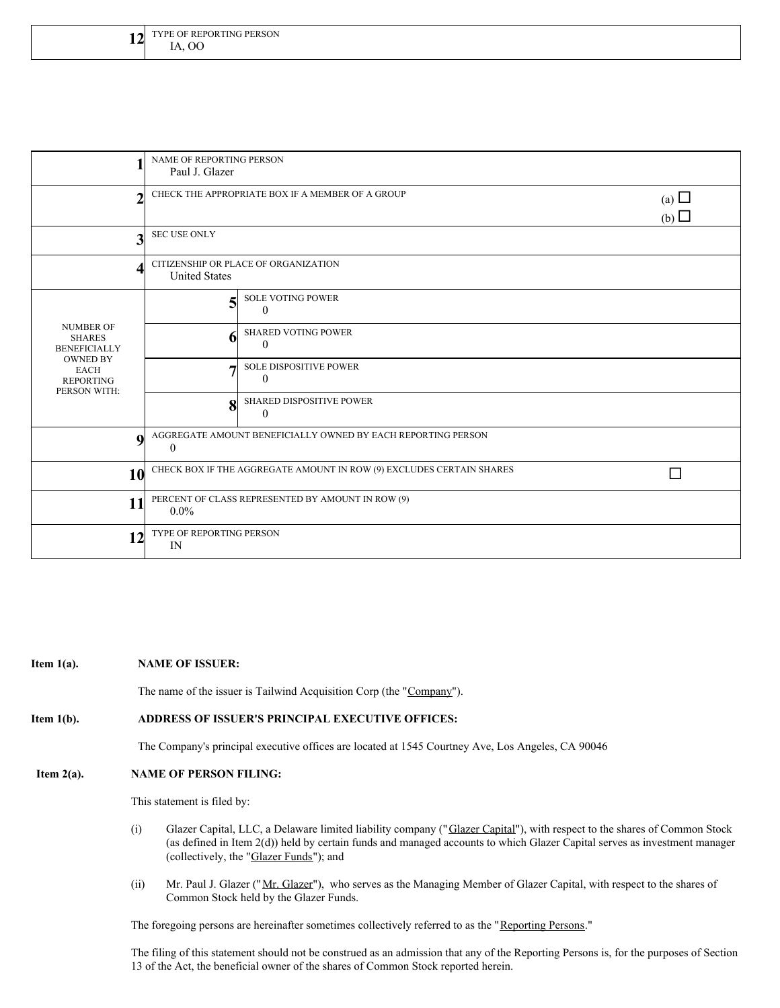| ٠                                                                                                                              | NAME OF REPORTING PERSON<br>Paul J. Glazer                               |                                               |  |  |  |
|--------------------------------------------------------------------------------------------------------------------------------|--------------------------------------------------------------------------|-----------------------------------------------|--|--|--|
| ↑                                                                                                                              | CHECK THE APPROPRIATE BOX IF A MEMBER OF A GROUP<br>(a) $\Box$<br>(b)    |                                               |  |  |  |
| 3                                                                                                                              | <b>SEC USE ONLY</b>                                                      |                                               |  |  |  |
| Δ                                                                                                                              | CITIZENSHIP OR PLACE OF ORGANIZATION<br><b>United States</b>             |                                               |  |  |  |
| <b>NUMBER OF</b><br><b>SHARES</b><br><b>BENEFICIALLY</b><br><b>OWNED BY</b><br><b>EACH</b><br><b>REPORTING</b><br>PERSON WITH: | 5                                                                        | <b>SOLE VOTING POWER</b><br>$\Omega$          |  |  |  |
|                                                                                                                                | 6                                                                        | <b>SHARED VOTING POWER</b><br>$\Omega$        |  |  |  |
|                                                                                                                                |                                                                          | <b>SOLE DISPOSITIVE POWER</b><br>$\mathbf{0}$ |  |  |  |
|                                                                                                                                | 8                                                                        | <b>SHARED DISPOSITIVE POWER</b><br>$\Omega$   |  |  |  |
| $\boldsymbol{9}$                                                                                                               | AGGREGATE AMOUNT BENEFICIALLY OWNED BY EACH REPORTING PERSON<br>$\theta$ |                                               |  |  |  |
| 10                                                                                                                             | CHECK BOX IF THE AGGREGATE AMOUNT IN ROW (9) EXCLUDES CERTAIN SHARES     |                                               |  |  |  |
| 11                                                                                                                             | PERCENT OF CLASS REPRESENTED BY AMOUNT IN ROW (9)<br>$0.0\%$             |                                               |  |  |  |
| 12                                                                                                                             | TYPE OF REPORTING PERSON<br>$_{\rm IN}$                                  |                                               |  |  |  |

#### **Item 1(a). NAME OF ISSUER:**

The name of the issuer is Tailwind Acquisition Corp (the "Company").

### **Item 1(b). ADDRESS OF ISSUER'S PRINCIPAL EXECUTIVE OFFICES:**

The Company's principal executive offices are located at 1545 Courtney Ave, Los Angeles, CA 90046

# **Item 2(a). NAME OF PERSON FILING:**

This statement is filed by:

- (i) Glazer Capital, LLC, a Delaware limited liability company ("Glazer Capital"), with respect to the shares of Common Stock (as defined in Item 2(d)) held by certain funds and managed accounts to which Glazer Capital serves as investment manager (collectively, the "Glazer Funds"); and
- (ii) Mr. Paul J. Glazer ("Mr. Glazer"), who serves as the Managing Member of Glazer Capital, with respect to the shares of Common Stock held by the Glazer Funds.

The foregoing persons are hereinafter sometimes collectively referred to as the "Reporting Persons."

The filing of this statement should not be construed as an admission that any of the Reporting Persons is, for the purposes of Section 13 of the Act, the beneficial owner of the shares of Common Stock reported herein.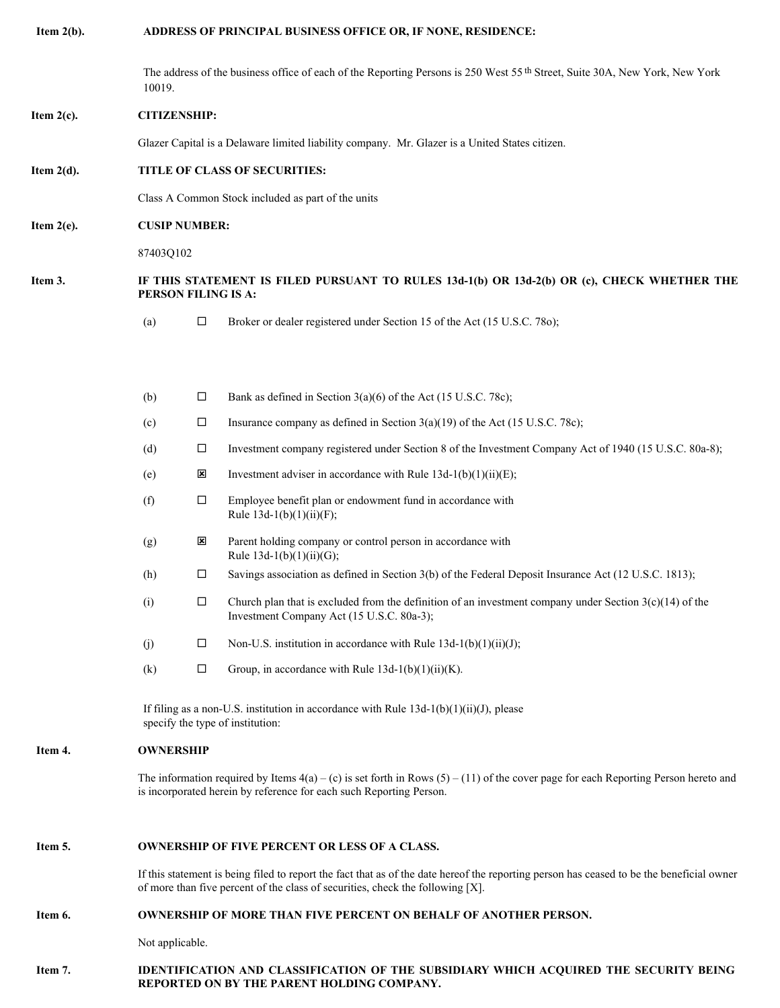**Item 2(b). ADDRESS OF PRINCIPAL BUSINESS OFFICE OR, IF NONE, RESIDENCE:**

The address of the business office of each of the Reporting Persons is 250 West 55 th Street, Suite 30A, New York, New York 10019.

## **Item 2(c). CITIZENSHIP:**

Glazer Capital is a Delaware limited liability company. Mr. Glazer is a United States citizen.

## **Item 2(d). TITLE OF CLASS OF SECURITIES:**

Class A Common Stock included as part of the units

**REPORTED ON BY THE PARENT HOLDING COMPANY.**

#### **Item 2(e). CUSIP NUMBER:**

87403Q102

## Item 3. IF THIS STATEMENT IS FILED PURSUANT TO RULES 13d-1(b) OR 13d-2(b) OR (c), CHECK WHETHER THE **PERSON FILING IS A:**

(a)  $\Box$  Broker or dealer registered under Section 15 of the Act (15 U.S.C. 780);

|         | (b)                                                                     | □                                                                                            | Bank as defined in Section $3(a)(6)$ of the Act (15 U.S.C. 78c);                                                                                                                                                            |  |  |
|---------|-------------------------------------------------------------------------|----------------------------------------------------------------------------------------------|-----------------------------------------------------------------------------------------------------------------------------------------------------------------------------------------------------------------------------|--|--|
|         | (c)                                                                     | $\Box$                                                                                       | Insurance company as defined in Section $3(a)(19)$ of the Act (15 U.S.C. 78c);                                                                                                                                              |  |  |
|         | (d)                                                                     | $\Box$                                                                                       | Investment company registered under Section 8 of the Investment Company Act of 1940 (15 U.S.C. 80a-8);                                                                                                                      |  |  |
|         | (e)                                                                     | ×                                                                                            | Investment adviser in accordance with Rule $13d-1(b)(1)(ii)(E)$ ;                                                                                                                                                           |  |  |
|         | (f)                                                                     | $\Box$                                                                                       | Employee benefit plan or endowment fund in accordance with<br>Rule $13d-1(b)(1)(ii)(F)$ ;                                                                                                                                   |  |  |
|         | (g)                                                                     | ⊠                                                                                            | Parent holding company or control person in accordance with<br>Rule $13d-1(b)(1)(ii)(G);$                                                                                                                                   |  |  |
|         | (h)                                                                     | □                                                                                            | Savings association as defined in Section 3(b) of the Federal Deposit Insurance Act (12 U.S.C. 1813);                                                                                                                       |  |  |
|         | (i)                                                                     | $\Box$                                                                                       | Church plan that is excluded from the definition of an investment company under Section $3(c)(14)$ of the<br>Investment Company Act (15 U.S.C. 80a-3);                                                                      |  |  |
|         | (i)                                                                     | $\Box$                                                                                       | Non-U.S. institution in accordance with Rule $13d-1(b)(1)(ii)(J)$ ;                                                                                                                                                         |  |  |
|         | (k)                                                                     | □                                                                                            | Group, in accordance with Rule $13d-1(b)(1)(ii)(K)$ .                                                                                                                                                                       |  |  |
|         |                                                                         |                                                                                              | If filing as a non-U.S. institution in accordance with Rule $13d-1(b)(1)(ii)(J)$ , please<br>specify the type of institution:                                                                                               |  |  |
| Item 4. | <b>OWNERSHIP</b>                                                        |                                                                                              |                                                                                                                                                                                                                             |  |  |
|         |                                                                         |                                                                                              | The information required by Items $4(a) - (c)$ is set forth in Rows $(5) - (11)$ of the cover page for each Reporting Person hereto and<br>is incorporated herein by reference for each such Reporting Person.              |  |  |
| Item 5. | <b>OWNERSHIP OF FIVE PERCENT OR LESS OF A CLASS.</b>                    |                                                                                              |                                                                                                                                                                                                                             |  |  |
|         |                                                                         |                                                                                              | If this statement is being filed to report the fact that as of the date hereof the reporting person has ceased to be the beneficial owner<br>of more than five percent of the class of securities, check the following [X]. |  |  |
| Item 6. | <b>OWNERSHIP OF MORE THAN FIVE PERCENT ON BEHALF OF ANOTHER PERSON.</b> |                                                                                              |                                                                                                                                                                                                                             |  |  |
|         | Not applicable.                                                         |                                                                                              |                                                                                                                                                                                                                             |  |  |
| Item 7. |                                                                         | <b>IDENTIFICATION AND CLASSIFICATION OF THE SUBSIDIARY WHICH ACOUIRED THE SECURITY BEING</b> |                                                                                                                                                                                                                             |  |  |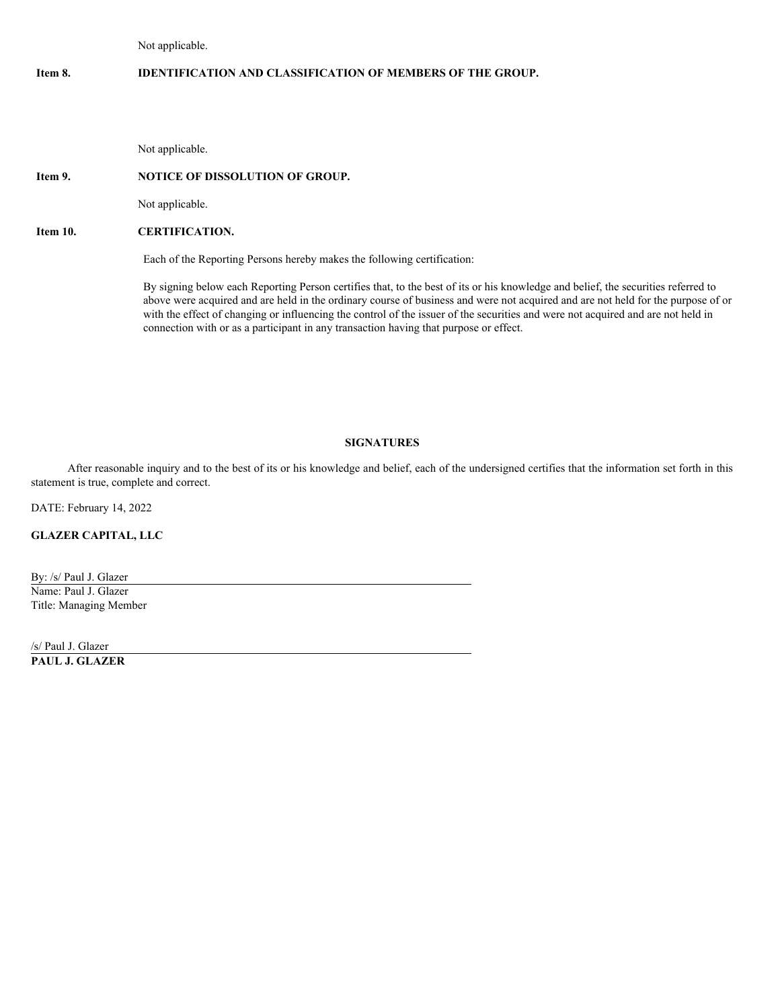Not applicable.

# **Item 8. IDENTIFICATION AND CLASSIFICATION OF MEMBERS OF THE GROUP.**

Not applicable.

## **Item 9. NOTICE OF DISSOLUTION OF GROUP.**

Not applicable.

# **Item 10. CERTIFICATION.**

Each of the Reporting Persons hereby makes the following certification:

By signing below each Reporting Person certifies that, to the best of its or his knowledge and belief, the securities referred to above were acquired and are held in the ordinary course of business and were not acquired and are not held for the purpose of or with the effect of changing or influencing the control of the issuer of the securities and were not acquired and are not held in connection with or as a participant in any transaction having that purpose or effect.

### **SIGNATURES**

After reasonable inquiry and to the best of its or his knowledge and belief, each of the undersigned certifies that the information set forth in this statement is true, complete and correct.

DATE: February 14, 2022

**GLAZER CAPITAL, LLC**

By: /s/ Paul J. Glazer Name: Paul J. Glazer Title: Managing Member

/s/ Paul J. Glazer **PAUL J. GLAZER**